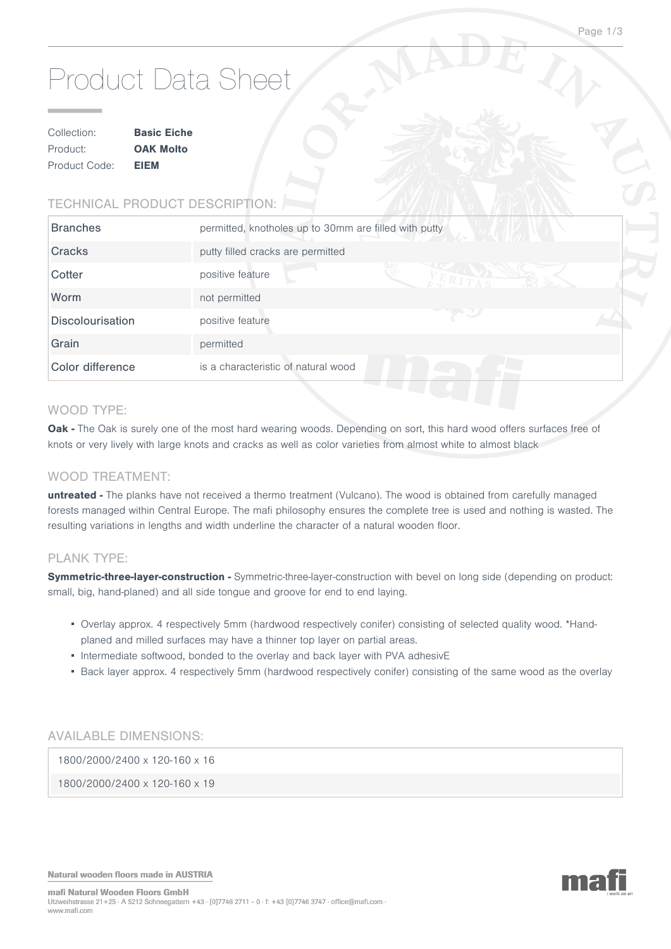# Product Data Sheet

| Collection:   | <b>Basic Eiche</b> |  |
|---------------|--------------------|--|
| Product:      | <b>OAK Molto</b>   |  |
| Product Code: | <b>EIEM</b>        |  |

# TECHNICAL PRODUCT DESCRIPTION:

| <b>Branches</b>         | permitted, knotholes up to 30mm are filled with putty<br>NASA YA YEKILI |  |
|-------------------------|-------------------------------------------------------------------------|--|
| Cracks                  | putty filled cracks are permitted                                       |  |
| Cotter                  | positive feature                                                        |  |
| Worm                    | not permitted                                                           |  |
| <b>Discolourisation</b> | positive feature                                                        |  |
| Grain                   | permitted                                                               |  |
| Color difference        | is a characteristic of natural wood                                     |  |

#### WOOD TYPE:

Oak - The Oak is surely one of the most hard wearing woods. Depending on sort, this hard wood offers surfaces free of knots or very lively with large knots and cracks as well as color varieties from almost white to almost black

#### WOOD TREATMENT:

**untreated -** The planks have not received a thermo treatment (Vulcano). The wood is obtained from carefully managed forests managed within Central Europe. The mafi philosophy ensures the complete tree is used and nothing is wasted. The resulting variations in lengths and width underline the character of a natural wooden floor.

#### PLANK TYPE:

Symmetric-three-layer-construction - Symmetric-three-layer-construction with bevel on long side (depending on product: small, big, hand-planed) and all side tongue and groove for end to end laying.

- Overlay approx. 4 respectively 5mm (hardwood respectively conifer) consisting of selected quality wood. \*Handplaned and milled surfaces may have a thinner top layer on partial areas.
- Intermediate softwood, bonded to the overlay and back layer with PVA adhesivE
- Back layer approx. 4 respectively 5mm (hardwood respectively conifer) consisting of the same wood as the overlay

# AVAILABLE DIMENSIONS:

1800/2000/2400 x 120-160 x 16

1800/2000/2400 x 120-160 x 19

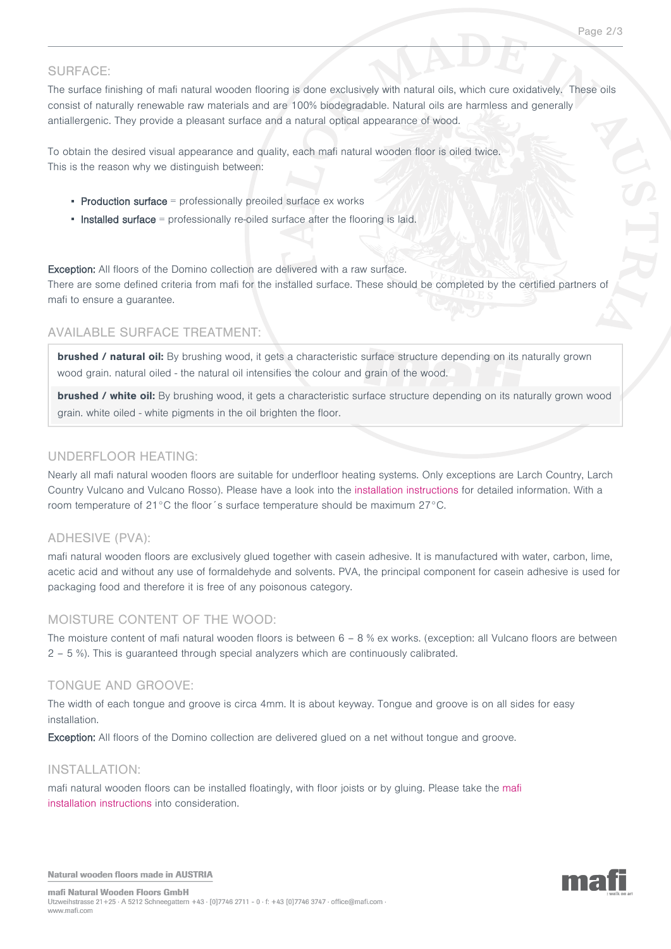# SURFACE:

The surface finishing of mafi natural wooden flooring is done exclusively with natural oils, which cure oxidatively. These oils consist of naturally renewable raw materials and are 100% biodegradable. Natural oils are harmless and generally antiallergenic. They provide a pleasant surface and a natural optical appearance of wood.

To obtain the desired visual appearance and quality, each mafi natural wooden floor is oiled twice. This is the reason why we distinguish between:

- **Production surface** = professionally preoiled surface  $ex$  works
- **Installed surface** = professionally re-oiled surface after the flooring is laid.

Exception: All floors of the Domino collection are delivered with a raw surface. There are some defined criteria from mafi for the installed surface. These should be completed by the certified partners of mafi to ensure a guarantee.

#### AVAILABLE SURFACE TREATMENT:

**brushed / natural oil:** By brushing wood, it gets a characteristic surface structure depending on its naturally grown wood grain. natural oiled - the natural oil intensifies the colour and grain of the wood.

**brushed / white oil:** By brushing wood, it gets a characteristic surface structure depending on its naturally grown wood grain. white oiled - white pigments in the oil brighten the floor.

#### UNDERFLOOR HEATING:

Nearly all mafi natural wooden floors are suitable for underfloor heating systems. Only exceptions are Larch Country, Larch Country Vulcano and Vulcano Rosso). Please have a look into the [installation instructions](http://www.grafikartelier.com/MAFI_INSTALL_VERLEGEFIBEL_2012.pdf) for detailed information. With a room temperature of 21°C the floor´s surface temperature should be maximum 27°C.

#### ADHESIVE (PVA):

mafi natural wooden floors are exclusively glued together with casein adhesive. It is manufactured with water, carbon, lime, acetic acid and without any use of formaldehyde and solvents. PVA, the principal component for casein adhesive is used for packaging food and therefore it is free of any poisonous category.

#### MOISTURE CONTENT OF THE WOOD:

The moisture content of mafi natural wooden floors is between 6 – 8 % ex works. (exception: all Vulcano floors are between 2 – 5 %). This is guaranteed through special analyzers which are continuously calibrated.

#### TONGUE AND GROOVE:

The width of each tongue and groove is circa 4mm. It is about keyway. Tongue and groove is on all sides for easy installation.

Exception: All floors of the Domino collection are delivered glued on a net without tongue and groove.

#### INSTALLATION:

mafi natural wooden floors can be installed floatingly, with floor joists or by gluing. Please take the [mafi](http://www.grafikartelier.com/MAFI_INSTALL_VERLEGEFIBEL_2012.pdf) [installation instructions](http://www.grafikartelier.com/MAFI_INSTALL_VERLEGEFIBEL_2012.pdf) into consideration.